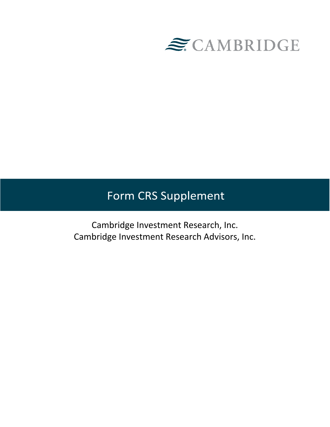

# Form CRS Supplement

Cambridge Investment Research, Inc. Cambridge Investment Research Advisors, Inc.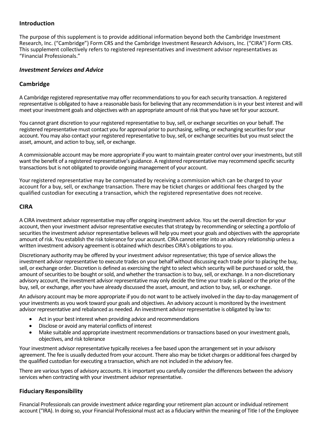## **Introduction**

The purpose of this supplement is to provide additional information beyond both the Cambridge Investment Research, Inc. ("Cambridge") Form CRS and the Cambridge Investment Research Advisors, Inc. ("CIRA") Form CRS. This supplement collectively refers to registered representatives and investment advisor representatives as "Financial Professionals."

#### *Investment Services and Advice*

## **Cambridge**

A Cambridge registered representative may offer recommendations to you for each security transaction. A registered representative is obligated to have a reasonable basis for believing that any recommendation is in your best interest and will meet your investment goals and objectives with an appropriate amount of risk that you have set for your account.

You cannot grant discretion to your registered representative to buy, sell, or exchange securities on your behalf. The registered representative must contact you for approval prior to purchasing, selling, or exchanging securities for your account. You may also contact your registered representative to buy, sell, or exchange securities but you must select the asset, amount, and action to buy, sell, or exchange.

A commissionable account may be more appropriate if you want to maintain greater control over your investments, but still want the benefit of a registered representative's guidance. A registered representative may recommend specific security transactions but is not obligated to provide ongoing management of your account.

Your registered representative may be compensated by receiving a commission which can be charged to your account for a buy, sell, or exchange transaction. There may be ticket charges or additional fees charged by the qualified custodian for executing a transaction, which the registered representative does notreceive.

### **CIRA**

A CIRA investment advisor representative may offer ongoing investment advice. You set the overall direction for your account, then your investment advisor representative executes that strategy by recommending or selecting a portfolio of securities the investment advisor representative believes will help you meet your goals and objectives with the appropriate amount of risk. You establish the risk tolerance for your account. CIRA cannot enter into an advisory relationship unless a written investment advisory agreement is obtained which describes CIRA's obligations to you.

Discretionary authority may be offered by your investment advisor representative; this type of service allows the investment advisor representative to execute trades on your behalf without discussing each trade prior to placing the buy, sell, or exchange order. Discretion is defined as exercising the right to select which security will be purchased or sold, the amount of securities to be bought or sold, and whether the transaction is to buy, sell, or exchange. In a non-discretionary advisory account, the investment advisor representative may only decide the time your trade is placed or the price of the buy, sell, or exchange, after you have already discussed the asset, amount, and action to buy, sell, or exchange.

An advisory account may be more appropriate if you do not want to be actively involved in the day-to-day management of your investments as you work toward your goals and objectives. An advisory account is monitored by the investment advisor representative and rebalanced as needed. An investment advisor representative is obligated by law to:

- Act in your best interest when providing advice and recommendations
- Disclose or avoid any material conflicts of interest
- Make suitable and appropriate investment recommendations or transactions based on your investment goals, objectives, and risk tolerance

Your investment advisor representative typically receives a fee based upon the arrangement set in your advisory agreement. The fee is usually deducted from your account. There also may be ticket charges or additional fees charged by the qualified custodian for executing a transaction, which are not included in the advisory fee.

There are various types of advisory accounts. It is important you carefully consider the differences between the advisory services when contracting with your investment advisor representative.

#### **Fiduciary Responsibility**

Financial Professionals can provide investment advice regarding your retirement plan account or individual retirement account ("IRA). In doing so, your Financial Professional must act as a fiduciary within the meaning of Title I of the Employee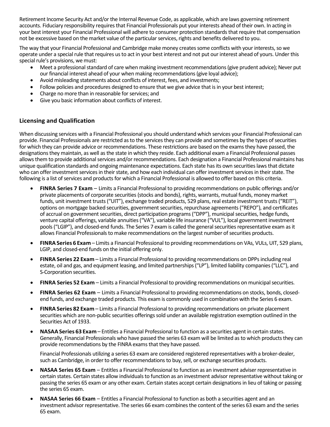Retirement Income Security Act and/or the Internal Revenue Code, as applicable, which are laws governing retirement accounts. Fiduciary responsibility requires that Financial Professionals put your interests ahead of their own. In acting in your best interest your Financial Professional will adhere to consumer protection standards that require that compensation not be excessive based on the market value of the particular services, rights and benefits delivered to you.

The way that your Financial Professional and Cambridge make money creates some conflicts with your interests, so we operate under a special rule that requires us to act in your best interest and not put our interest ahead of yours. Under this special rule's provisions, we must:

- Meet a professional standard of care when making investment recommendations (give prudent advice); Never put our financial interest ahead of your when making recommendations (give loyal advice);
- Avoid misleading statements about conflicts of interest, fees, and investments;
- Follow policies and procedures designed to ensure that we give advice that is in your best interest;
- Charge no more than in reasonable for services; and
- Give you basic information about conflicts of interest.

## **Licensing and Qualification**

When discussing services with a Financial Professional you should understand which services your Financial Professional can provide. Financial Professionals are restricted as to the services they can provide and sometimes by the types of securities for which they can provide advice or recommendations. These restrictions are based on the exams they have passed, the designations they maintain, as well as the state in which they reside. Each additional exam a Financial Professional passes allows them to provide additional services and/or recommendations. Each designation a Financial Professional maintains has unique qualification standards and ongoing maintenance expectations. Each state has its own securities laws that dictate who can offer investment services in their state, and how each individual can offer investment services in their state. The following is a list of services and products for which a Financial Professional is allowed to offer based on this criteria.

- **FINRA Series 7 Exam**  Limits a Financial Professional to providing recommendations on public offerings and/or private placements of corporate securities (stocks and bonds), rights, warrants, mutual funds, money market funds, unit investment trusts ("UIT"), exchange traded products, 529 plans, real estate investment trusts ("REIT"), options on mortgage backed securities, government securities, repurchase agreements ("REPO"), and certificates of accrual on government securities, direct participation programs ("DPP"), municipal securities, hedge funds, venture capital offerings, variable annuities ("VA"), variable life insurance ("VUL"), local government investment pools ("LGIP"), and closed-end funds. The Series 7 exam is called the general securities representative exam as it allows Financial Professionals to make recommendations on the largest number of securities products.
- **FINRASeries 6 Exam** Limits a Financial Professional to providing recommendations on VAs, VULs, UIT, 529 plans, LGIP, and closed-end funds on the initial offering only.
- **FINRA Series 22 Exam** Limits a Financial Professional to providing recommendations on DPPs including real estate, oil and gas, and equipment leasing, and limited partnerships ("LP"), limited liability companies ("LLC"), and S-Corporation securities.
- **FINRA Series 52 Exam** Limits a Financial Professional to providing recommendations on municipal securities.
- **FINRA Series 62 Exam**  Limits a Financial Professional to providing recommendations on stocks, bonds, closedend funds, and exchange traded products. This exam is commonly used in combination with the Series 6 exam.
- **FINRASeries 82 Exam** Limits a Financial Professional to providing recommendations on private placement securities which are non-public securities offerings sold under an available registration exemption outlined in the Securities Act of 1933.
- **NASAASeries 63 Exam** Entitles a Financial Professional to function as a securities agent in certain states. Generally, Financial Professionals who have passed the series 63 exam will be limited as to which products they can provide recommendations by the FINRA exams that they have passed.

Financial Professionals utilizing a series 63 exam are considered registered representatives with a broker-dealer, such as Cambridge, in order to offer recommendations to buy, sell, or exchange securities products.

- **NASAA Series 65 Exam**  Entitles a Financial Professional to function as an investment adviser representative in certain states. Certain states allow individuals to function as an investment advisor representative without taking or passing the series 65 exam or any other exam. Certain states accept certain designations in lieu of taking or passing the series 65 exam.
- **NASAA Series 66 Exam**  Entitles a Financial Professional to function as both a securities agent and an investment advisor representative. The series 66 exam combines the content of the series 63 exam and the series 65 exam.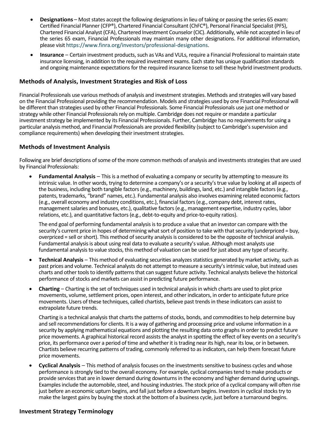- **Designations** Most states accept the following designations in lieu of taking or passing the series 65 exam: Certified Financial Planner (CFP®), Chartered Financial Consultant (ChFC®), Personal Financial Specialist (PFS), Chartered Financial Analyst (CFA), Chartered Investment Counselor (CIC). Additionally, while not accepted in lieu of the series 65 exam, Financial Professionals may maintain many other designations. For additional information, please visit [https://www.finra.org/investors/professional-designations.](https://www.finra.org/investors/professional-designations)
- **Insurance**  Certain investment products, such as VAs and VULs, require a Financial Professional to maintain state insurance licensing, in addition to the required investment exams. Each state has unique qualification standards and ongoing maintenance expectations for the required insurance license to sell these hybrid investment products.

## **Methods of Analysis, Investment Strategies and Risk of Loss**

Financial Professionals use various methods of analysis and investment strategies. Methods and strategies will vary based on the Financial Professional providing the recommendation. Models and strategies used by one Financial Professional will be different than strategies used by other Financial Professionals. Some Financial Professionals use just one method or strategy while other Financial Professionals rely on multiple. Cambridge does not require or mandate a particular investment strategy be implemented by its Financial Professionals. Further, Cambridge has no requirements for using a particular analysis method, and Financial Professionals are provided flexibility (subject to Cambridge's supervision and compliance requirements) when developing their investment strategies.

### **Methods of Investment Analysis**

Following are brief descriptions of some of the more common methods of analysis and investments strategies that are used by Financial Professionals:

• **Fundamental Analysis** – This is a method of evaluating a company or security by attempting to measure its intrinsic value. In other words, trying to determine a company's or a security's true value by looking at all aspects of the business, including both tangible factors (e.g., machinery, buildings, land, etc.) and intangible factors (e.g., patents, trademarks, "brand" names, etc.). Fundamental analysis also involves examining related economic factors (e.g., overall economy and industry conditions, etc.), financial factors (e.g., company debt, interest rates, management salaries and bonuses, etc.), qualitative factors (e.g., management expertise, industry cycles, labor relations, etc.), and quantitative factors (e.g., debt-to-equity and price-to-equity ratios).

The end goal of performing fundamental analysis is to produce a value that an investor can compare with the security's current price in hopes of determining what sort of position to take with that security (underpriced = buy, overpriced = sell or short). This method of security analysis is considered to be the opposite of technical analysis. Fundamental analysis is about using real data to evaluate a security's value. Although most analysts use fundamental analysis to value stocks, this method of valuation can be used for just about any type of security.

- **Technical Analysis** This method of evaluating securities analyzes statistics generated by market activity, such as past prices and volume. Technical analysts do not attempt to measure a security's intrinsic value, but instead uses charts and other tools to identify patterns that can suggest future activity. Technical analysts believe the historical performance of stocks and markets can assist in predicting future performance.
- **Charting**  Charting is the set of techniques used in technical analysis in which charts are used to plot price movements, volume, settlement prices, open interest, and other indicators, in order to anticipate future price movements. Users of these techniques, called chartists, believe past trends in these indicators can assist to extrapolate future trends.

Charting is a technical analysis that charts the patterns of stocks, bonds, and commodities to help determine buy and sell recommendations for clients. It is a way of gathering and processing price and volume information in a security by applying mathematical equations and plotting the resulting data onto graphs in order to predict future price movements. A graphical historical record assists the analyst in spotting the effect of key events on a security's price, its performance over a period of time and whether it is trading near its high, near its low, or in between. Chartists believe recurring patterns of trading, commonly referred to as indicators, can help them forecast future price movements.

• **Cyclical Analysis** – This method of analysis focuses on the investments sensitive to business cycles and whose performance is strongly tied to the overall economy. For example, cyclical companies tend to make products or provide services that are in lower demand during downturns in the economy and higher demand during upswings. Examples include the automobile, steel, and housing industries. The stock price of a cyclical company will often rise just before an economic upturn begins, and fall just before a downturn begins. Investors in cyclical stocks try to make the largest gains by buying the stock at the bottom of a business cycle, just before a turnaround begins.

#### **Investment Strategy Terminology**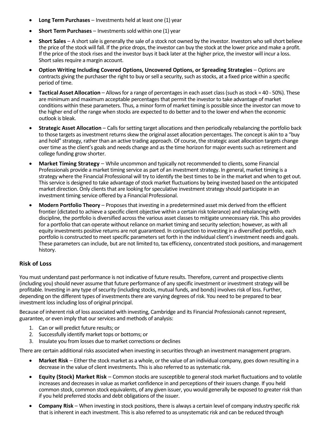- **Long Term Purchases**  Investments held at least one (1) year
- **Short Term Purchases**  Investments sold within one (1) year
- **Short Sales**  A short sale is generally the sale of a stock not owned by the investor. Investors who sell short believe the price of the stock will fall. If the price drops, the investor can buy the stock at the lower price and make a profit. If the price of the stock rises and the investor buys it back later at the higher price, the investor will incur a loss. Short sales require a margin account.
- **Option Writing Including Covered Options, Uncovered Options, or Spreading Strategies**  Options are contracts giving the purchaser the right to buy or sell a security, such as stocks, at a fixed price within a specific period of time.
- **Tactical Asset Allocation** Allows for a range of percentages in each asset class (such as stock = 40 50%). These are minimum and maximum acceptable percentages that permit the investor to take advantage of market conditions within these parameters. Thus, a minor form of market timing is possible since the investor can move to the higher end of the range when stocks are expected to do better and to the lower end when the economic outlook is bleak.
- **Strategic Asset Allocation**  Calls for setting target allocations and then periodically rebalancing the portfolio back to those targets as investment returns skew the original asset allocation percentages. The concept is akin to a "buy and hold" strategy, rather than an active trading approach. Of course, the strategic asset allocation targets change over time as the client's goals and needs change and as the time horizon for major events such as retirement and college funding grow shorter.
- **Market Timing Strategy**  While uncommon and typically not recommended to clients, some Financial Professionals provide a market timing service as part of an investment strategy. In general, market timing is a strategy where the Financial Professional will try to identify the best times to be in the market and when to get out. This service is designed to take advantage of stock market fluctuations by being invested based on the anticipated market direction. Only clients that are looking for speculative investment strategy should participate in an investment timing service offered by a Financial Professional.
- **Modern Portfolio Theory**  Proposes that investing in a predetermined asset mix derived from the efficient frontier (dictated to achieve a specific client objective within a certain risk tolerance) and rebalancing with discipline, the portfolio is diversified across the various asset classes to mitigate unnecessary risk. This also provides for a portfolio that can operate without reliance on market timing and security selection; however, as with all equity investments positive returns are not guaranteed. In conjunction to investing in a diversified portfolio, each portfolio is constructed to meet specific parameters set forth in the individual client's investment needs and goals. These parameters can include, but are not limited to, tax efficiency, concentrated stock positions, and management history.

#### **Risk of Loss**

You must understand past performance is not indicative of future results. Therefore, current and prospective clients (including you) should never assume that future performance of any specific investment or investment strategy will be profitable. Investing in any type of security (including stocks, mutual funds, and bonds) involves risk of loss. Further, depending on the different types of investments there are varying degrees of risk. You need to be prepared to bear investment loss including loss of original principal.

Because of inherent risk of loss associated with investing, Cambridge and its Financial Professionals cannot represent, guarantee, or even imply that our services and methods of analysis:

- 1. Can or will predict future results; or
- 2. Successfully identify market tops or bottoms; or
- 3. Insulate you from losses due to market corrections or declines

There are certain additional risks associated when investing in securities through an investment management program.

- **Market Risk**  Either the stock market as a whole, or the value of an individual company, goes down resulting in a decrease in the value of client investments. This is also referred to as systematic risk.
- **Equity (Stock) Market Risk**  Common stocks are susceptible to general stock market fluctuations and to volatile increases and decreases in value as market confidence in and perceptions of their issuers change. If you held common stock, common stock equivalents, of any given issuer, you would generally be exposed to greater risk than if you held preferred stocks and debt obligations of the issuer.
- **Company Risk**  When investing in stock positions, there is always a certain level of company industry specific risk that is inherent in each investment. This is also referred to as unsystematic risk and can be reduced through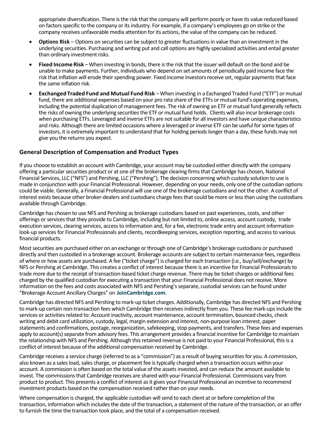appropriate diversification. There is the risk that the company will perform poorly or have its value reduced based on factors specific to the company or its industry. For example, if a company's employees go on strike or the company receives unfavorable media attention for its actions, the value of the company can be reduced.

- **Options Risk**  Options on securities can be subject to greater fluctuations in value than an investment in the underlying securities. Purchasing and writing put and call options are highly specialized activities and entail greater than ordinary investment risks.
- **Fixed Income Risk** –When investing in bonds, there is the risk that the issuer will default on the bond and be unable to make payments. Further, individuals who depend on set amounts of periodically paid income face the risk that inflation will erode their spending power. Fixed income investors receive set, regular payments that face the same inflation risk.
- **Exchanged Traded Fund and Mutual Fund Risk** When investing in a Exchanged Traded Fund ("ETF") or mutual fund, there are additional expenses based on your pro rata share of the ETFs or mutual fund's operating expenses, including the potential duplication of management fees. The risk of owning an ETF or mutual fund generally reflects the risks of owning the underlying securities the ETF or mutual fund holds. Clients will also incur brokerage costs when purchasing ETFs. Leveraged and inverse ETFs are not suitable for all investors and have unique characteristics and risks. Although there are limited occasions where a leveraged or inverse ETF can be useful for some types of investors, it is extremely important to understand that for holding periods longer than a day, these funds may not give you the returns you expect.

## **General Description of Compensation and Product Types**

If you choose to establish an account with Cambridge, your account may be custodied either directly with the company offering a particular securities product or at one of the brokerage clearing firms that Cambridge has chosen, National Financial Services, LLC ("NFS") and Pershing, LLC ("Pershing"). The decision concerning which custody solution to use is made in conjunction with your Financial Professional. However, depending on your needs, only one of the custodian options could be viable. Generally, a Financial Professional will use one of the brokerage custodians and not the other. A conflict of interest exists because other broker-dealers and custodians charge fees that could be more or less than using the custodians available through Cambridge.

Cambridge has chosen to use NFS and Pershing as brokerage custodians based on past experiences, costs, and other offerings or services that they provide to Cambridge, including but not limited to, online access, account custody, trade execution services, clearing services, accessto information and, for a fee, electronic trade entry and account information look-up services for Financial Professionals and clients, recordkeeping services, exception reporting, and access to various financial products.

Most securities are purchased either on an exchange or through one of Cambridge's brokerage custodians or purchased directly and then custodied in a brokerage account. Brokerage accounts are subject to certain maintenance fees, regardless of where or how assets are purchased. A fee ("ticket charge") is charged for each transaction (i.e., buy/sell/exchange) by NFS or Pershing at Cambridge. This creates a conflict of interest because there is an incentive for Financial Professionals to trade more due to the receipt of transaction-based ticket charge revenue. There may be ticket charges or additional fees charged by the qualified custodian for executing a transaction that your Financial Professional does not receive. More information on the fees and costs associated with NFS and Pershing's separate, custodial services can be found under "Brokerage Account Ancillary Charges" on **[JoinCambridge.com](https://www.joincambridge.com/information-for-investors/investor-resources/cambridge-disclosures/)**.

Cambridge has directed NFS and Pershing to mark-up ticket charges. Additionally, Cambridge has directed NFS and Pershing to mark-up certain non-transaction fees which Cambridge then receives indirectly from you. These fee mark-ups include the services or activities related to: Account inactivity, account maintenance, account termination, bounced checks, check writing and debit card utilization, custody, legal, margin extension and interest, non-purpose loan interest, paper statements and confirmations, postage, reorganization, safekeeping, stop payments, and transfers. These fees and expenses apply to account(s) separate from advisory fees. This arrangement provides a financial incentive for Cambridge to maintain the relationship with NFS and Pershing. Although this retained revenue is not paid to your Financial Professional, this is a conflict of interest because of the additional compensation received by Cambridge.

Cambridge receives a service charge (referred to as a "commission") as a result of buying securities for you. A commission, also known as a sales load, sales charge, or placement fee is typically charged when a transaction occurs within your account. A commission is often based on the total value of the assets invested, and can reduce the amount available to invest. The commissions that Cambridge receives are shared with your Financial Professional. Commissions vary from product to product. This presents a conflict of interest as it gives your Financial Professional an incentive to recommend investment products based on the compensation received rather than on your needs.

Where compensation is charged, the applicable custodian will send to each client at or before completion of the transaction, information which includes the date of the transaction, a statement of the nature of the transaction, or an offer to furnish the time the transaction took place, and the total of a compensation received.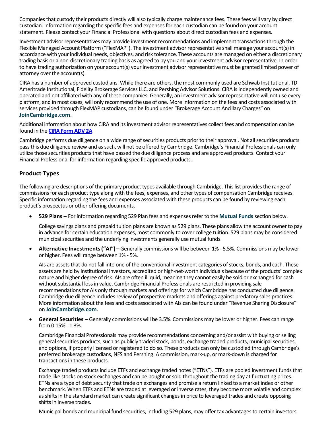Companies that custody their products directly will also typically charge maintenance fees. These fees will vary by direct custodian. Information regarding the specific fees and expenses for each custodian can be found on your account statement. Please contact your Financial Professional with questions about direct custodian fees and expenses.

Investment advisor representatives may provide investment recommendations and implement transactions through the Flexible Managed Account Platform ("FlexMAP"). The investment advisor representative shall manage your account(s) in accordance with your individual needs, objectives, and risk tolerance. These accounts are managed on either a discretionary trading basis or a non-discretionary trading basis as agreed to by you and your investment advisor representative. In order to have trading authorization on your account(s) your investment advisor representative must be granted limited power of attorney over the account(s).

CIRA has a number of approved custodians. While there are others, the most commonly used are Schwab Institutional, TD Ameritrade Institutional, Fidelity Brokerage Services LLC, and Pershing Advisor Solutions. CIRA is independently owned and operated and not affiliated with any of these companies. Generally, an investment advisor representative will not use every platform, and in most cases, will only recommend the use of one. More information on the fees and costs associated with services provided through FlexMAP custodians, can be found under "Brokerage Account Ancillary Charges" on **[JoinCambridge.com](https://www.joincambridge.com/information-for-investors/investor-resources/cambridge-disclosures/)**.

Additional information about how CIRA and its investment advisor representatives collect fees and compensation can be found in the **[CIRA Form ADV](https://www.joincambridge.com/content/dam/joincambridge/pdf/cira_adv_(2).pdf) 2A**.

Cambridge performs due diligence on a wide range of securities products prior to their approval. Not all securities products pass this due diligence review and as such, will not be offered by Cambridge. Cambridge's Financial Professionals can only utilize those securities products that have passed the due diligence process and are approved products. Contact your Financial Professional for information regarding specific approved products.

## **Product Types**

The following are descriptions of the primary product types available through Cambridge. This list provides the range of commissions for each product type along with the fees, expenses, and other types of compensation Cambridge receives. Specific information regarding the fees and expenses associated with these products can be found by reviewing each product's prospectus or other offering documents.

• **529 Plans** – For information regarding 529 Plan fees and expenses refer to the **[Mutual Funds](#page-7-0)** section below.

College savings plans and prepaid tuition plans are known as 529 plans. These plans allow the account owner to pay in advance for certain education expenses, most commonly to cover college tuition. 529 plans may be considered municipal securities and the underlying investments generally use mutual funds.

• **Alternative Investments("AI")** –Generally commissions will be between 1% - 5.5%. Commissions may be lower or higher. Fees will range between 1% - 5%.

AIs are assets that do not fall into one of the conventional investment categories of stocks, bonds, and cash. These assets are held by institutional investors, accredited or high-net-worth individuals because of the products' complex nature and higher degree of risk. AIs are often illiquid, meaning they cannot easily be sold or exchanged for cash without substantial loss in value. Cambridge Financial Professionals are restricted in providing sale recommendations for AIs only through markets and offerings for which Cambridge has conducted due diligence. Cambridge due diligence includes review of prospective markets and offerings against predatory sales practices. More information about the fees and costs associated with AIs can be found under "Revenue Sharing Disclosure" on **[JoinCambridge.com](https://www.joincambridge.com/information-for-investors/investor-resources/cambridge-disclosures/)**.

• **General Securities** – Generally commissions will be 3.5%. Commissions may be lower or higher. Fees can range from 0.15% - 1.3%.

Cambridge Financial Professionals may provide recommendations concerning and/or assist with buying or selling general securities products, such as publicly traded stock, bonds, exchange traded products, municipal securities, and options, if properly licensed or registered to do so. These products can only be custodied through Cambridge's preferred brokerage custodians, NFS and Pershing. A commission, mark-up, or mark-down is charged for transactions in these products.

Exchange traded products include ETFs and exchange traded notes ("ETNs"). ETFs are pooled investment funds that trade like stocks on stock exchanges and can be bought or sold throughout the trading day at fluctuating prices. ETNs are a type of debt security that trade on exchanges and promise a return linked to a market index or other benchmark. When ETFs and ETNs are traded at leveraged or inverse rates, they become more volatile and complex as shifts in the standard market can create significant changes in price to leveraged trades and create opposing shifts in inverse trades.

Municipal bonds and municipal fund securities, including 529 plans, may offer tax advantages to certain investors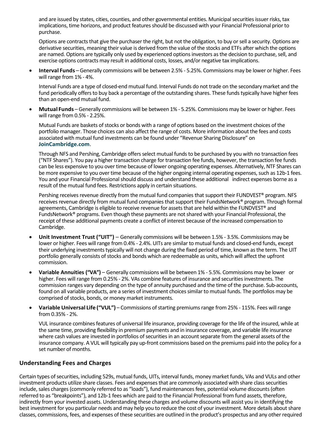and are issued by states, cities, counties, and other governmental entities. Municipal securities issuer risks, tax implications, time horizons, and product features should be discussed with your Financial Professional prior to purchase.

<span id="page-7-0"></span>Options are contracts that give the purchaser the right, but not the obligation, to buy or sell a security. Options are derivative securities, meaning their value is derived from the value of the stocks and ETFs after which the options are named. Options are typically only used by experienced options investors as the decision to purchase, sell, and exercise options contracts may result in additional costs, losses, and/or negative tax implications.

• **Interval Funds** –Generally commissions will be between 2.5% - 5.25%. Commissions may be lower or higher. Fees will range from 1% - 4%.

Interval Funds are a type of closed-end mutual fund. Interval Funds do not trade on the secondary market and the fund periodically offers to buy back a percentage of the outstanding shares. These funds typically have higher fees than an open-end mutual fund.

• **Mutual Funds** –Generally commissions will be between 1% - 5.25%. Commissions may be lower or higher. Fees will range from 0.5% - 2.25%.

Mutual Funds are baskets of stocks or bonds with a range of options based on the investment choices of the portfolio manager. Those choices can also affect the range of costs. More information about the fees and costs associated with mutual fund investments can be found under "Revenue Sharing Disclosure" on **[JoinCambridge.com](https://www.joincambridge.com/information-for-investors/investor-resources/cambridge-disclosures/)**.

Through NFS and Pershing, Cambridge offers select mutual funds to be purchased by you with no transaction fees ("NTF Shares"). You pay a higher transaction charge for transaction fee funds, however, the transaction fee funds can be less expensive to you over time because of lower ongoing operating expenses. Alternatively, NTF Shares can be more expensive to you over time because of the higher ongoing internal operating expenses, such as 12b-1 fees. You and your Financial Professional should discuss and understand these additional indirect expenses borne as a result of the mutual fund fees. Restrictions apply in certain situations.

Pershing receives revenue directly from the mutual fund companies that support their FUNDVEST® program. NFS receives revenue directly from mutual fund companies that support their FundsNetwork® program. Through formal agreements, Cambridge is eligible to receive revenue for assets that are held within the FUNDVEST® and FundsNetwork® programs. Even though these payments are not shared with your Financial Professional, the receipt of these additional payments create a conflict of interest because of the increased compensation to Cambridge.

- **Unit Investment Trust ("UIT")**  Generally commissions will be between 1.5% 3.5%. Commissions may be lower or higher. Fees will range from 0.4% - 2.4%. UITs are similar to mutual funds and closed-end funds, except their underlying investments typically will not change during the fixed period of time, known as the term. The UIT portfolio generally consists of stocks and bonds which are redeemable as units, which will affect the upfront commission.
- **Variable Annuities ("VA")**  Generally commissions will be between 1% 5.5%. Commissions may be lower or higher. Fees will range from 0.25% - 2%. VAs combine features of insurance and securities investments. The commission ranges vary depending on the type of annuity purchased and the time of the purchase. Sub-accounts, found on all variable products, are a series of investment choices similar to mutual funds. The portfolios may be comprised of stocks, bonds, or money market instruments.
- **VariableUniversal Life ("VUL")** Commissions of starting premiums range from 25% 115%. Fees will range from 0.35% - 2%.

VUL insurance combines features of universal life insurance, providing coverage for the life of the insured, while at the same time, providing flexibility in premium payments and in insurance coverage, and variable life insurance where cash values are invested in portfolios of securities in an account separate from the general assets of the insurance company. A VUL will typically pay up-front commissions based on the premiums paid into the policy for a set number of months.

## **Understanding Fees and Charges**

Certain types of securities, including 529s, mutual funds, UITs, interval funds, money market funds, VAs and VULs and other investment products utilize share classes. Fees and expenses that are commonly associated with share class securities include, sales charges (commonly referred to as "loads"), fund maintenances fees, potential volume discounts (often referred to as "breakpoints"), and 12b-1 fees which are paid to the Financial Professional from fund assets, therefore, indirectly from your invested assets. Understanding these charges and volume discounts will assist you in identifying the best investment for you particular needs and may help you to reduce the cost of your investment. More details about share classes, commissions, fees, and expenses of these securities are outlined in the product's prospectus and any other required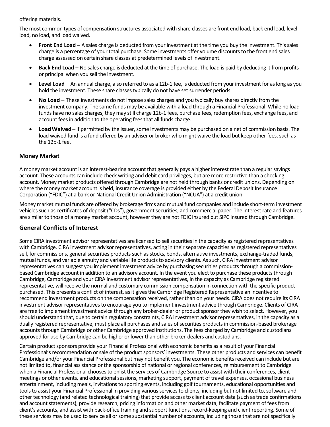### offering materials.

The most common types of compensation structures associated with share classes are front end load, back end load, level load, no load, and load waived.

- **Front End Load**  A sales charge is deducted from your investment at the time you buy the investment. This sales charge is a percentage of your total purchase. Some investments offer volume discounts to the front end sales charge assessed on certain share classes at predetermined levels of investment.
- **Back End Load**  No sales charge is deducted at the time of purchase. The load is paid by deducting it from profits or principal when you sell the investment.
- **Level Load**  An annual charge, also referred to as a 12b-1 fee, is deducted from your investment for as long as you hold the investment. These share classes typically do not have set surrender periods.
- **No Load**  These investments do not impose sales charges and you typically buy shares directly from the investment company. The same funds may be available with a load through a Financial Professional. While no load funds have no sales charges, they may still charge 12b-1 fees, purchase fees, redemption fees, exchange fees, and account fees in addition to the operating fees that all funds charge.
- **LoadWaived** If permitted by the issuer, some investments may be purchased on a net of commission basis. The load waived fund is a fund offered by an adviser or broker who might waive the load but keep other fees, such as the 12b-1 fee.

## **Money Market**

A money market account is an interest-bearing account that generally pays a higher interest rate than a regular savings account. These accounts can include check writing and debit card privileges, but are more restrictive than a checking account. Money market products offered through Cambridge are not held through banks or credit unions. Depending on where the money market account is held, insurance coverage is provided either by the Federal Deposit Insurance Corporation ("FDIC") at a bank or National Credit Union Administration ("NCUA") at a credit union.

Money market mutual funds are offered by brokerage firms and mutual fund companies and include short-term investment vehicles such as certificates of deposit ("CDs"), government securities, and commercial paper. The interest rate and features are similar to those of a money market account, however they are not FDIC insured but SIPC insured through Cambridge.

## **General Conflicts of Interest**

Some CIRA investment advisor representatives are licensed to sell securities in the capacity as registered representatives with Cambridge. CIRA investment advisor representatives, acting in their separate capacities as registered representatives sell, for commissions, general securities products such as stocks, bonds, alternative investments, exchange-traded funds, mutual funds, and variable annuity and variable life products to advisory clients. As such, CIRA investment advisor representatives can suggest you implement investment advice by purchasing securities products through a commissionbased Cambridge account in addition to an advisory account. In the event you elect to purchase these products through Cambridge, Cambridge and your CIRA investment advisor representatives, in the capacity as Cambridge registered representative, will receive the normal and customary commission compensation in connection with the specific product purchased. This presents a conflict of interest, as it gives the Cambridge Registered Representative an incentive to recommend investment products on the compensation received, rather than on your needs. CIRA does not require its CIRA investment advisor representatives to encourage you to implement investment advice through Cambridge. Clients of CIRA are free to implement investment advice through any broker-dealer or product sponsor they wish to select. However, you should understand that, due to certain regulatory constraints, CIRA investment advisor representatives, in the capacity as a dually registered representative, must place all purchases and sales of securities products in commission-based brokerage accounts through Cambridge or other Cambridge approved institutions. The fees charged by Cambridge and custodians approved for use by Cambridge can be higher or lower than other broker-dealers and custodians.

Certain product sponsors provide your Financial Professional with economic benefits as a result of your Financial Professional's recommendation or sale of the product sponsors' investments. These other products and services can benefit Cambridge and/or your Financial Professional but may not benefit you. The economic benefits received can include but are not limited to, financial assistance or the sponsorship of national or regional conferences, reimbursement to Cambridge when a Financial Professional chooses to enlist the services of Cambridge Source to assist with their conferences, client meetings or other events, and educational sessions, marketing support, payment of travel expenses, occasional business entertainment, including meals, invitations to sporting events, including golf tournaments, educational opportunities and tools to assist your Financial Professional in providing various services to clients, including but not limited to, software and other technology (and related technological training) that provide access to client account data (such as trade confirmations and account statements), provide research, pricing information and other market data, facilitate payment of fees from client's accounts, and assist with back-office training and support functions, record-keeping and client reporting. Some of these services may be used to service all or some substantial number of accounts, including those that are not specifically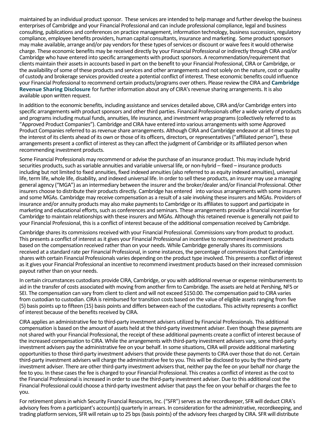maintained by an individual product sponsor. These services are intended to help manage and further develop the business enterprises of Cambridge and your Financial Professional and can include professional compliance, legal and business consulting, publications and conferences on practice management, information technology, business succession, regulatory compliance, employee benefits providers, human capital consultants, insurance and marketing. Some product sponsors may make available, arrange and/or pay vendors for these types of services or discount or waive fees it would otherwise charge. These economic benefits may be received directly by your Financial Professional or indirectly through CIRA and/or Cambridge who have entered into specific arrangements with product sponsors. A recommendation/requirement that clients maintain their assets in accounts based in part on the benefit to your Financial Professional, CIRA or Cambridge, or the availability of some of these products and services and other arrangements and not solely on the nature, cost or quality of custody and brokerage services provided create a potential conflict of interest. These economic benefits could influence your Financial Professional to recommend certain products/programs over others. Please review the CIRA and **[Cambridge](http://www.joincambridge.com/information-for-investors/investor-resources/cambridge-disclosures/)  [Revenue Sharing Disclosure](http://www.joincambridge.com/information-for-investors/investor-resources/cambridge-disclosures/)** for further information about any of CIRA's revenue sharing arrangements. It is also available upon written request.

In addition to the economic benefits, including assistance and services detailed above, CIRA and/or Cambridge enters into specific arrangements with product sponsors and other third parties. Financial Professionals offer a wide variety of products and programs including mutual funds, annuities, life insurance, and investment wrap programs (collectively referred to as "Approved Product Companies"). Cambridge and CIRA have entered into various arrangements with some Approved Product Companies referred to as revenue share arrangements. Although CIRA and Cambridge endeavor at all times to put the interest of its clients ahead of its own or those of its officers, directors, or representatives ("affiliated person"), these arrangements present a conflict of interest as they can affect the judgment of Cambridge or its affiliated person when recommending investment products.

Some Financial Professionals may recommend or advise the purchase of an insurance product. This may include hybrid securities products, such as variable annuities and variable universal life, or non-hybrid – fixed – insurance products including but not limited to fixed annuities, fixed indexed annuities (also referred to as equity indexed annuities), universal life, term life, whole life, disability, and indexed universal life. In order to sell these products, an insurer may use a managing general agency ("MGA") as an intermediary between the insurer and the broker/dealer and/or Financial Professional. Other insurers choose to distribute their products directly. Cambridge has entered into various arrangements with some insurers and some MGAs. Cambridge may receive compensation as a result of a sale involving these insurers and MGAs. Providers of insurance and/or annuity products may also make payments to Cambridge or its affiliates to support and participate in marketing and educational efforts, such as conferences and seminars. These arrangements provide a financial incentive for Cambridge to maintain relationships with these insurers and MGAs. Although this retained revenue is generally not paid to your Financial Professional, this is a conflict of interest because of the additional compensation received by Cambridge.

Cambridge shares its commissions received with your Financial Professional. Commissions vary from product to product. This presents a conflict of interest as it gives your Financial Professional an incentive to recommend investment products based on the compensation received rather than on your needs. While Cambridge generally shares its commissions received at a standard rate per Financial Professional, in some instances, the percentage of commissions that Cambridge shares with certain Financial Professionals varies depending on the product type involved. This presents a conflict of interest as it gives your Financial Professional an incentive to recommend investment products based on their increased commission payout rather than on your needs.

In certain circumstances custodians provide CIRA, Cambridge, or you with additional revenue or expense reimbursements to aid in the transfer of costs associated with moving from another firm to Cambridge. The assets are held at Pershing, NFS or SEI. The compensation can vary from client to client and will not exceed \$150.00. The compensation paid to CIRA varies from custodian to custodian. CIRA is reimbursed for transition costs based on the value of eligible assets ranging from five (5) basis points up to fifteen (15) basis points and differs between each of the custodians. This activity represents a conflict of interest because of the benefits received by CIRA.

CIRA applies an administrative fee to third-party investment advisers utilized by Financial Professionals. This additional compensation is based on the amount of assets held at the third-party investment adviser. Even though these payments are not shared with your Financial Professional, the receipt of these additional payments create a conflict of interest because of the increased compensation to CIRA. While the arrangements with third-party investment advisers vary, some third-party investment advisers pay the administrative fee on your behalf. In some situations, CIRA will provide additional marketing opportunities to those third-party investment advisers that provide these payments to CIRA over those that do not. Certain third-party investment advisers will charge the administrative fee to you. This will be disclosed to you by the third-party investment adviser. There are other third-party investment advisers that, neither pay the fee on your behalf nor charge the fee to you. In these cases the fee is charged to your Financial Professional. This creates a conflict of interest as the cost to the Financial Professional is increased in order to use the third-party investment adviser. Due to this additional cost the Financial Professional could choose a third-party investment adviser that pays the fee on your behalf or charges the fee to you.

For retirement plans in which Security Financial Resources, Inc. ("SFR") serves as the recordkeeper, SFR will deduct CIRA's advisory fees from a participant's account(s) quarterly in arrears. In consideration for the administrative, recordkeeping, and trading platform services, SFR will retain up to 25 bps (basis points) of the advisory fees charged by CIRA. SFR will distribute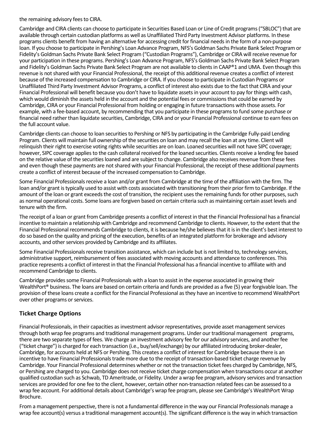the remaining advisory fees to CIRA.

Cambridge and CIRA clients can choose to participate in Securities Based Loan or Line of Credit programs ("SBLOC") that are available through certain custodian platforms as well as Unaffiliated Third Party Investment Advisor platforms. In these programs clients benefit from having an alternative for accessing credit for financial needs in the form of a non-purpose loan. If you choose to participate in Pershing's Loan Advance Program, NFS's Goldman Sachs Private Bank Select Program or Fidelity's Goldman Sachs Private Bank Select Program ("Custodian Programs"), Cambridge or CIRA will receive revenue for your participation in these programs. Pershing's Loan Advance Program, NFS's Goldman Sachs Private Bank Select Program and Fidelity's Goldman Sachs Private Bank Select Program are not available to clients in CAAP®1 and UMA. Even though this revenue is not shared with your Financial Professional, the receipt of this additional revenue creates a conflict of interest because of the increased compensation to Cambridge or CIRA. If you choose to participate in Custodian Programs or Unaffiliated Third Party Investment Advisor Programs, a conflict of interest also exists due to the fact that CIRA and your Financial Professional will benefit because you don't have to liquidate assets in your account to pay for things with cash, which would diminish the assets held in the account and the potential fees or commissions that could be earned by Cambridge, CIRA or your Financial Professional from holding or engaging in future transactions with those assets. For example, with a fee-based account, by recommending that you participate in these programs to fund some purchase or financial need rather than liquidate securities, Cambridge, CIRA and or your Financial Professional continue to earn fees on the full account value.

Cambridge clients can choose to loan securities to Pershing or NFS by participating in the Cambridge Fully-paid Lending Program. Clients will maintain full ownership of the securities on loan and may recall the loan at any time. Client will relinquish their right to exercise voting rights while securities are on loan. Loaned securities will not have SIPC coverage; however, SIPC coverage applies to the cash collateral received for the loaned securities. Clients receive a lending fee based on the relative value of the securities loaned and are subject to change. Cambridge also receives revenue from these fees and even though these payments are not shared with your Financial Professional, the receipt of these additional payments create a conflict of interest because of the increased compensation to Cambridge.

Some Financial Professionals receive a loan and/or grant from Cambridge at the time of the affiliation with the firm. The loan and/or grant is typically used to assist with costs associated with transitioning from their prior firm to Cambridge. If the amount of the loan or grant exceeds the cost of transition, the recipient uses the remaining funds for other purposes, such as normal operational costs. Some loans are forgiven based on certain criteria such as maintaining certain asset levels and tenure with the firm.

The receipt of a loan or grant from Cambridge presents a conflict of interest in that the Financial Professional has a financial incentive to maintain a relationship with Cambridge and recommend Cambridge to clients. However, to the extent that the Financial Professional recommends Cambridge to clients, it is because he/she believes that it is in the client's best interest to do so based on the quality and pricing of the execution, benefits of an integrated platform for brokerage and advisory accounts, and other services provided by Cambridge and its affiliates.

Some Financial Professionals receive transition assistance, which can include but is not limited to, technology services, administrative support, reimbursement of fees associated with moving accounts and attendance to conferences. This practice represents a conflict of interest in that the Financial Professional has a financial incentive to affiliate with and recommend Cambridge to clients.

Cambridge provides some Financial Professionals with a loan to assist in the expense associated in growing their WealthPort® business. The loans are based on certain criteria and funds are provided as a five (5) year forgivable loan. The provision of these loans create a conflict for the Financial Professional as they have an incentive to recommend WealthPort over other programs or services.

## **Ticket Charge Options**

Financial Professionals, in their capacities as investment advisor representatives, provide asset management services through both wrap fee programs and traditional management programs. Under our traditional management programs, there are two separate types of fees. We charge an investment advisory fee for our advisory services, and another fee ("ticket charge") is charged for each transaction (i.e., buy/sell/exchange) by our affiliated introducing broker-dealer, Cambridge, for accounts held at NFS or Pershing. This creates a conflict of interest for Cambridge because there is an incentive to have Financial Professionals trade more due to the receipt of transaction-based ticket charge revenue by Cambridge. Your Financial Professional determines whether or not the transaction ticket fees charged by Cambridge, NFS, or Pershing are charged to you. Cambridge does not receive ticket charge compensation when transactions occur at another qualified custodian such as Schwab, TD Ameritrade, or Fidelity. Under a wrap fee program, advisory services and transaction services are provided for one fee to the client, however, certain other non-transaction related fees can be assessed to a wrap fee account. For additional details about Cambridge's wrap fee program, please see Cambridge's WealthPort Wrap Brochure.

From a management perspective, there is not a fundamental difference in the way our Financial Professionals manage a wrap fee account(s) versus a traditional management account(s). The significant difference is the way in which transaction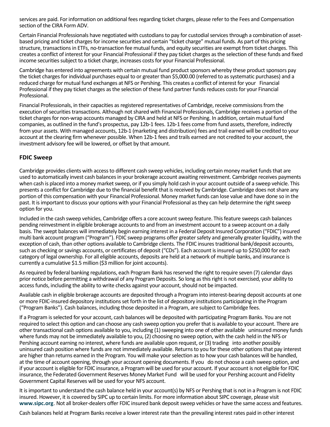services are paid. For information on additional fees regarding ticket charges, please refer to the Fees and Compensation section of the CIRA Form ADV.

Certain Financial Professionals have negotiated with custodians to pay for custodial services through a combination of assetbased pricing and ticket charges for income securities and certain "ticket charge" mutual funds. As part of this pricing structure, transactions in ETFs, no-transaction fee mutual funds, and equity securities are exempt from ticket charges. This creates a conflict of interest for your Financial Professional if they pay ticket charges as the selection of these funds and fixed income securities subject to a ticket charge, increases costs for your Financial Professional.

Cambridge has entered into agreements with certain mutual fund product sponsors whereby these product sponsors pay the ticket charges for individual purchases equal to or greater than \$5,000.00 (referred to as systematic purchases) and a reduced charge for mutual fund exchanges at NFS or Pershing. This creates a conflict of interest for your Financial Professional if they pay ticket charges as the selection of these fund partner funds reduces costs for your Financial Professional.

Financial Professionals, in their capacities as registered representatives of Cambridge, receive commissions from the execution of securities transactions. Although not shared with Financial Professionals, Cambridge receives a portion of the ticket charges for non-wrap accounts managed by CIRA and held at NFS or Pershing. In addition, certain mutual fund companies, as outlined in the fund's prospectus, pay 12b-1 fees. 12b-1 fees come from fund assets, therefore, indirectly from your assets. With managed accounts, 12b-1 (marketing and distribution) fees and trail earned will be credited to your account at the clearing firm whenever possible. When 12b-1 fees and trails earned are not credited to your account, the investment advisory fee will be lowered, or offset by that amount.

## **FDIC Sweep**

Cambridge provides clients with access to different cash sweep vehicles, including certain money market funds that are used to automatically invest cash balances in your brokerage account awaiting reinvestment. Cambridge receives payments when cash is placed into a money market sweep, or if you simply hold cash in your account outside of a sweep vehicle. This presents a conflict for Cambridge due to the financial benefit that is received by Cambridge. Cambridge does not share any portion of this compensation with your Financial Professional. Money market funds can lose value and have done so in the past. It is important to discuss your options with your Financial Professional as they can help determine the right sweep option for you.

Included in the cash sweep vehicles, Cambridge offers a core account sweep feature. This feature sweeps cash balances pending reinvestment in eligible brokerage accounts to and from an investment account to a sweep account on a daily basis. The swept balances will immediately begin earning interest in a Federal Deposit Insured Corporation ("FDIC") insured multi bank account program ("Program"). FDIC sweep programs offer greater safety and generally greater liquidity, with the exception of cash, than other options available to Cambridge clients. The FDIC insures traditional bank/deposit accounts, such as checking or savings accounts, or certificates of deposit ("CDs"). Each account is insured up to \$250,000 for each category of legal ownership. For all eligible accounts, deposits are held at a network of multiple banks, and insurance is currently a cumulative \$1.5 million (\$3 million for joint accounts).

As required by federal banking regulations, each Program Bank has reserved the right to require seven (7) calendar days prior notice before permitting a withdrawal of any Program Deposits. So long as this right is not exercised, your ability to access funds, including the ability to write checks against your account, should not be impacted.

Available cash in eligible brokerage accounts are deposited through a Program into interest-bearing deposit accounts at one or more FDIC-insured depository institutions set forth in the list of depository institutions participating in the Program ("Program Banks"). Cash balances, including those deposited in a Program, are subject to Cambridge fees.

If a Program is selected for your account, cash balances will be deposited with participating Program Banks. You are not required to select this option and can choose any cash sweep option you prefer that is available to your account. There are other transactional cash options available to you, including (1) sweeping into one of other available uninsured money funds where funds may not be immediately available to you, (2) choosing no sweep option, with the cash held in the NFS or Pershing account earning no interest, where funds are available upon request, or (3) trading into another possibly uninsured cash position where funds are not immediately available. Returns to you for these other options that pay interest are higher than returns earned in the Program. You will make your selection as to how your cash balances will be handled, at the time of account opening, through your account opening documents. If you do not choose a cash sweep option, and if your account is eligible for FDIC insurance, a Program will be used for your account. If your account is not eligible for FDIC insurance, the Federated Government Reserves Money Market Fund will be used for your Pershing account and Fidelity Government Capital Reserves will be used for your NFS account.

It is important to understand the cash balance held in your account(s) by NFS or Pershing that is not in a Program is not FDIC insured. However, it is covered by SIPC up to certain limits. For more information about SIPC coverage, please visit **[www.sipc.org](http://www.sipc.org/)**. Not all broker-dealers offer FDIC insured bank deposit sweep vehicles or have the same access and features.

Cash balances held at Program Banks receive a lower interest rate than the prevailing interest rates paid in other interest